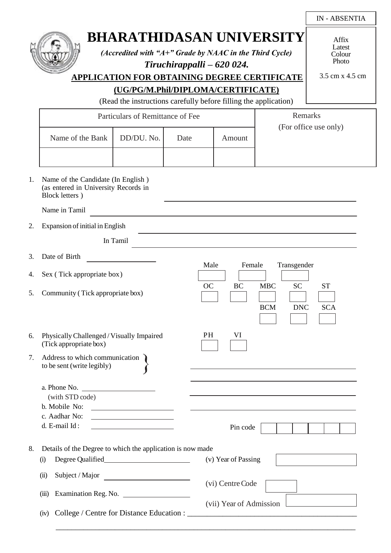|    |                                                                                                                                                       |                                                       |      |                     |                                                                                                                                                                                                                               | <b>IN-ABSENTIA</b> |
|----|-------------------------------------------------------------------------------------------------------------------------------------------------------|-------------------------------------------------------|------|---------------------|-------------------------------------------------------------------------------------------------------------------------------------------------------------------------------------------------------------------------------|--------------------|
|    | <b>BHARATHIDASAN UNIVERSITY</b><br>(Accredited with " $A+$ " Grade by NAAC in the Third Cycle)<br><b>APPLICATION FOR OBTAINING DEGREE CERTIFICATE</b> | Affix<br>Latest<br>Colour<br>Photo<br>3.5 cm x 4.5 cm |      |                     |                                                                                                                                                                                                                               |                    |
|    | (UG/PG/M.Phil/DIPLOMA/CERTIFICATE)                                                                                                                    |                                                       |      |                     |                                                                                                                                                                                                                               |                    |
|    | (Read the instructions carefully before filling the application)                                                                                      |                                                       |      |                     |                                                                                                                                                                                                                               |                    |
|    | Particulars of Remittance of Fee                                                                                                                      | Remarks                                               |      |                     |                                                                                                                                                                                                                               |                    |
|    |                                                                                                                                                       |                                                       |      |                     | (For office use only)                                                                                                                                                                                                         |                    |
|    | Name of the Bank                                                                                                                                      | DD/DU. No.                                            | Date | Amount              |                                                                                                                                                                                                                               |                    |
|    |                                                                                                                                                       |                                                       |      |                     |                                                                                                                                                                                                                               |                    |
| 1. | Name of the Candidate (In English)<br>(as entered in University Records in<br>Block letters)                                                          |                                                       |      |                     |                                                                                                                                                                                                                               |                    |
|    | Name in Tamil                                                                                                                                         |                                                       |      |                     |                                                                                                                                                                                                                               |                    |
| 2. | Expansion of initial in English                                                                                                                       |                                                       |      |                     |                                                                                                                                                                                                                               |                    |
|    | In Tamil                                                                                                                                              |                                                       |      |                     |                                                                                                                                                                                                                               |                    |
| 3. | Date of Birth                                                                                                                                         |                                                       |      |                     |                                                                                                                                                                                                                               |                    |
| 4. | Male<br>Female<br>Transgender<br>Sex (Tick appropriate box)                                                                                           |                                                       |      |                     |                                                                                                                                                                                                                               |                    |
| 5. | <b>SC</b><br><b>OC</b><br><b>BC</b><br><b>MBC</b><br><b>ST</b><br>Community (Tick appropriate box)<br><b>BCM</b><br><b>DNC</b><br><b>SCA</b>          |                                                       |      |                     |                                                                                                                                                                                                                               |                    |
| 6. | PH<br>VI<br>Physically Challenged / Visually Impaired<br>(Tick appropriate box)                                                                       |                                                       |      |                     |                                                                                                                                                                                                                               |                    |
| 7. | Address to which communication<br>to be sent (write legibly)                                                                                          |                                                       |      |                     | the control of the control of the control of the control of the control of the control of the control of the control of the control of the control of the control of the control of the control of the control of the control |                    |
|    | a. Phone No.<br>(with STD code)<br>b. Mobile No:                                                                                                      | <u> 1999 - Johann Barn, fransk politik (</u>          |      |                     |                                                                                                                                                                                                                               |                    |
|    | c. Aadhar No:<br>d. E-mail Id:                                                                                                                        | <u> 1990 - Johann Barbara, martin a</u>               |      | Pin code            |                                                                                                                                                                                                                               |                    |
| 8. | Details of the Degree to which the application is now made                                                                                            |                                                       |      |                     |                                                                                                                                                                                                                               |                    |
|    | (i)                                                                                                                                                   |                                                       |      | (v) Year of Passing |                                                                                                                                                                                                                               |                    |
|    | Subject / Major<br>(ii)                                                                                                                               |                                                       |      |                     |                                                                                                                                                                                                                               |                    |
|    | Examination Reg. No.<br>(iii)                                                                                                                         |                                                       |      | (vi) Centre Code    |                                                                                                                                                                                                                               |                    |
|    |                                                                                                                                                       |                                                       |      |                     | $(vii)$ Year of Admission                                                                                                                                                                                                     |                    |
|    |                                                                                                                                                       |                                                       |      |                     |                                                                                                                                                                                                                               |                    |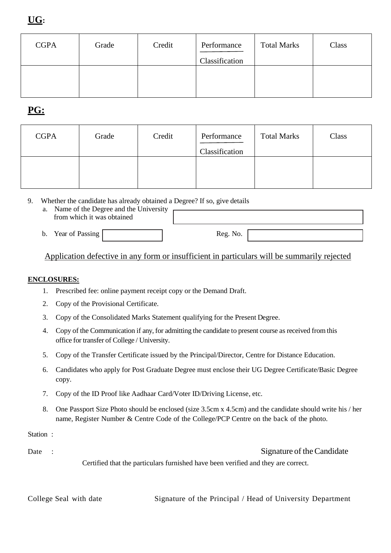| <b>CGPA</b> | Grade | Credit | Performance<br>Classification | <b>Total Marks</b> | Class |
|-------------|-------|--------|-------------------------------|--------------------|-------|
|             |       |        |                               |                    |       |
|             |       |        |                               |                    |       |
|             |       |        |                               |                    |       |

## **PG:**

| <b>CGPA</b> | Grade | Credit | Performance<br>Classification | <b>Total Marks</b> | Class |
|-------------|-------|--------|-------------------------------|--------------------|-------|
|             |       |        |                               |                    |       |

- 9. Whether the candidate has already obtained a Degree? If so, give details
	- a. Name of the Degree and the University from which it was obtained
	- b. Year of Passing Reg. No.

### Application defective in any form or insufficient in particulars will be summarily rejected

#### **ENCLOSURES:**

- 1. Prescribed fee: online payment receipt copy or the Demand Draft.
- 2. Copy of the Provisional Certificate.
- 3. Copy of the Consolidated Marks Statement qualifying for the Present Degree.
- 4. Copy of the Communication if any, for admitting the candidate to present course as received from this office for transfer of College / University.
- 5. Copy of the Transfer Certificate issued by the Principal/Director, Centre for Distance Education.
- 6. Candidates who apply for Post Graduate Degree must enclose their UG Degree Certificate/Basic Degree copy.
- 7. Copy of the ID Proof like Aadhaar Card/Voter ID/Driving License, etc.
- 8. One Passport Size Photo should be enclosed (size 3.5cm x 4.5cm) and the candidate should write his / her name, Register Number & Centre Code of the College/PCP Centre on the back of the photo.

Station :

Date : Signature of the Candidate

Certified that the particulars furnished have been verified and they are correct.

College Seal with date Signature of the Principal / Head of University Department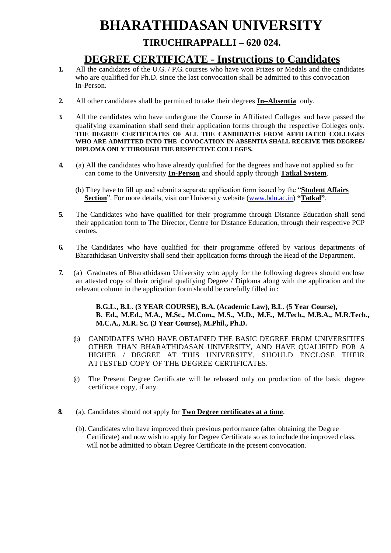# **BHARATHIDASAN UNIVERSITY**

## **TIRUCHIRAPPALLI – 620 024.**

## **DEGREE CERTIFICATE - Instructions to Candidates**

- **1.** All the candidates of the U.G. / P.G. courses who have won Prizes or Medals and the candidates who are qualified for Ph.D. since the last convocation shall be admitted to this convocation In-Person.
- **2.** All other candidates shall be permitted to take their degrees **In–Absentia** only.
- **3.** All the candidates who have undergone the Course in Affiliated Colleges and have passed the qualifying examination shall send their application forms through the respective Colleges only. **THE DEGREE CERTIFICATES OF ALL THE CANDIDATES FROM AFFILIATED COLLEGES WHO ARE ADMITTED INTO THE COVOCATION IN-ABSENTIA SHALL RECEIVE THE DEGREE/ DIPLOMA ONLY THROUGH THE RESPECTIVE COLLEGES.**
- **4.** (a) All the candidates who have already qualified for the degrees and have not applied so far can come to the University **In-Person** and should apply through **Tatkal System**.
	- (b) They have to fill up and submit a separate application form issued by the "**Student Affairs Section**". For more details, visit our University website [\(www.bdu.ac.in\)](http://www.bdu.ac.in/) **"Tatkal"**.
- **5.** The Candidates who have qualified for their programme through Distance Education shall send their application form to The Director, Centre for Distance Education, through their respective PCP centres.
- **6.** The Candidates who have qualified for their programme offered by various departments of Bharathidasan University shall send their application forms through the Head of the Department.
- **7.** (a) Graduates of Bharathidasan University who apply for the following degrees should enclose an attested copy of their original qualifying Degree / Diploma along with the application and the relevant column in the application form should be carefully filled in :

**B.G.L., B.L. (3 YEAR COURSE), B.A. (Academic Law), B.L. (5 Year Course), B. Ed., M.Ed., M.A., M.Sc., M.Com., M.S., M.D., M.E., M.Tech., M.B.A., M.R.Tech., M.C.A., M.R. Sc. (3 Year Course), M.Phil., Ph.D.**

- (b) CANDIDATES WHO HAVE OBTAINED THE BASIC DEGREE FROM UNIVERSITIES OTHER THAN BHARATHIDASAN UNIVERSITY, AND HAVE QUALIFIED FOR A HIGHER / DEGREE AT THIS UNIVERSITY, SHOULD ENCLOSE THEIR ATTESTED COPY OF THE DEGREE CERTIFICATES.
- (c) The Present Degree Certificate will be released only on production of the basic degree certificate copy, if any.
- **8.** (a). Candidates should not apply for **Two Degree certificates at a time**.
	- (b). Candidates who have improved their previous performance (after obtaining the Degree Certificate) and now wish to apply for Degree Certificate so as to include the improved class, will not be admitted to obtain Degree Certificate in the present convocation.